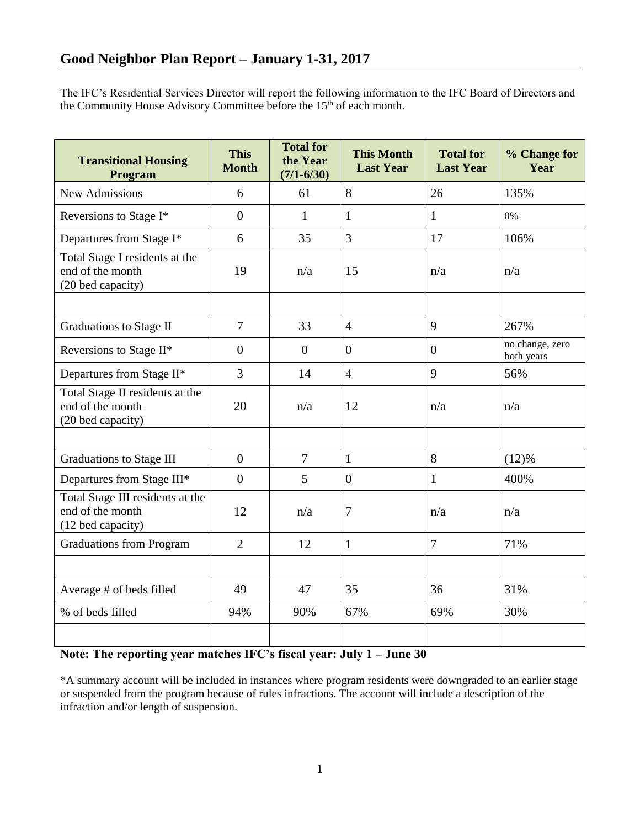The IFC's Residential Services Director will report the following information to the IFC Board of Directors and the Community House Advisory Committee before the 15<sup>th</sup> of each month.

| <b>Transitional Housing</b><br>Program                                    | <b>This</b><br><b>Month</b> | <b>Total for</b><br>the Year<br>$(7/1 - 6/30)$ | <b>This Month</b><br><b>Last Year</b> | <b>Total for</b><br><b>Last Year</b> | % Change for<br>Year          |
|---------------------------------------------------------------------------|-----------------------------|------------------------------------------------|---------------------------------------|--------------------------------------|-------------------------------|
| <b>New Admissions</b>                                                     | 6                           | 61                                             | 8                                     | 26                                   | 135%                          |
| Reversions to Stage I*                                                    | $\overline{0}$              | 1                                              | $\mathbf{1}$                          | 1                                    | 0%                            |
| Departures from Stage I*                                                  | 6                           | 35                                             | $\overline{3}$                        | 17                                   | 106%                          |
| Total Stage I residents at the<br>end of the month<br>(20 bed capacity)   | 19                          | n/a                                            | 15                                    | n/a                                  | n/a                           |
|                                                                           |                             |                                                |                                       |                                      |                               |
| <b>Graduations to Stage II</b>                                            | $\overline{7}$              | 33                                             | $\overline{4}$                        | 9                                    | 267%                          |
| Reversions to Stage II*                                                   | $\overline{0}$              | $\overline{0}$                                 | $\Omega$                              | $\overline{0}$                       | no change, zero<br>both years |
| Departures from Stage II*                                                 | 3                           | 14                                             | $\overline{4}$                        | 9                                    | 56%                           |
| Total Stage II residents at the<br>end of the month<br>(20 bed capacity)  | 20                          | n/a                                            | 12                                    | n/a                                  | n/a                           |
|                                                                           |                             |                                                |                                       |                                      |                               |
| <b>Graduations to Stage III</b>                                           | $\overline{0}$              | $\overline{7}$                                 | $\mathbf{1}$                          | 8                                    | (12)%                         |
| Departures from Stage III*                                                | $\overline{0}$              | 5                                              | $\mathbf{0}$                          | $\mathbf{1}$                         | 400%                          |
| Total Stage III residents at the<br>end of the month<br>(12 bed capacity) | 12                          | n/a                                            | $\overline{7}$                        | n/a                                  | n/a                           |
| <b>Graduations from Program</b>                                           | $\overline{2}$              | 12                                             | $\mathbf{1}$                          | $\overline{7}$                       | 71%                           |
|                                                                           |                             |                                                |                                       |                                      |                               |
| Average # of beds filled                                                  | 49                          | 47                                             | 35                                    | 36                                   | 31%                           |
| % of beds filled                                                          | 94%                         | 90%                                            | 67%                                   | 69%                                  | 30%                           |
|                                                                           |                             |                                                |                                       |                                      |                               |

## **Note: The reporting year matches IFC's fiscal year: July 1 – June 30**

\*A summary account will be included in instances where program residents were downgraded to an earlier stage or suspended from the program because of rules infractions. The account will include a description of the infraction and/or length of suspension.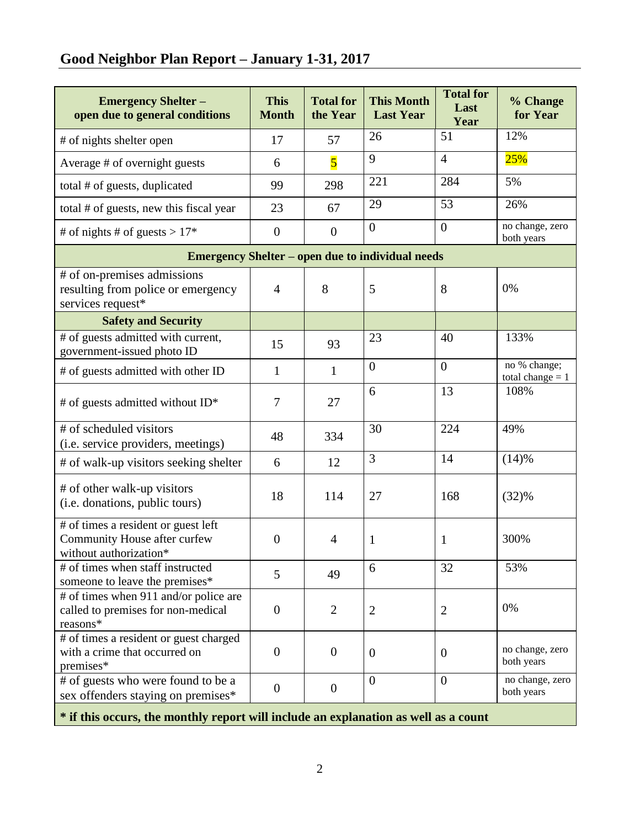# **Good Neighbor Plan Report – January 1-31, 2017**

| <b>Emergency Shelter -</b><br>open due to general conditions                                  | <b>This</b><br><b>Month</b> | <b>Total for</b><br>the Year | <b>This Month</b><br><b>Last Year</b> | <b>Total for</b><br>Last<br>Year | % Change<br>for Year               |  |  |  |  |
|-----------------------------------------------------------------------------------------------|-----------------------------|------------------------------|---------------------------------------|----------------------------------|------------------------------------|--|--|--|--|
| # of nights shelter open                                                                      | 17                          | 57                           | 26                                    | 51                               | 12%                                |  |  |  |  |
| Average # of overnight guests                                                                 | 6                           | $\overline{\mathbf{5}}$      | 9                                     | $\overline{4}$                   | 25%                                |  |  |  |  |
| total # of guests, duplicated                                                                 | 99                          | 298                          | 221                                   | 284                              | 5%                                 |  |  |  |  |
| total # of guests, new this fiscal year                                                       | 23                          | 67                           | 29                                    | 53                               | 26%                                |  |  |  |  |
| # of nights # of guests > $17*$                                                               | $\boldsymbol{0}$            | $\boldsymbol{0}$             | $\mathbf{0}$                          | $\overline{0}$                   | no change, zero<br>both years      |  |  |  |  |
| <b>Emergency Shelter – open due to individual needs</b>                                       |                             |                              |                                       |                                  |                                    |  |  |  |  |
| # of on-premises admissions<br>resulting from police or emergency<br>services request*        | $\overline{4}$              | 8                            | 5                                     | 8                                | 0%                                 |  |  |  |  |
| <b>Safety and Security</b>                                                                    |                             |                              |                                       |                                  |                                    |  |  |  |  |
| # of guests admitted with current,<br>government-issued photo ID                              | 15                          | 93                           | 23                                    | 40                               | 133%                               |  |  |  |  |
| # of guests admitted with other ID                                                            | $\mathbf{1}$                | $\mathbf{1}$                 | $\mathbf{0}$                          | $\overline{0}$                   | no % change;<br>total change $= 1$ |  |  |  |  |
| # of guests admitted without ID*                                                              | $\overline{7}$              | 27                           | 6                                     | 13                               | 108%                               |  |  |  |  |
| # of scheduled visitors<br>(i.e. service providers, meetings)                                 | 48                          | 334                          | 30                                    | 224                              | 49%                                |  |  |  |  |
| # of walk-up visitors seeking shelter                                                         | 6                           | 12                           | 3                                     | 14                               | (14)%                              |  |  |  |  |
| # of other walk-up visitors<br>(i.e. donations, public tours)                                 | 18                          | 114                          | 27                                    | 168                              | (32)%                              |  |  |  |  |
| # of times a resident or guest left<br>Community House after curfew<br>without authorization* | $\overline{0}$              | $\overline{4}$               | $\mathbf{1}$                          | 1                                | 300%                               |  |  |  |  |
| # of times when staff instructed<br>someone to leave the premises*                            | 5                           | 49                           | 6                                     | 32                               | 53%                                |  |  |  |  |
| # of times when 911 and/or police are<br>called to premises for non-medical<br>reasons*       | $\overline{0}$              | $\overline{2}$               | $\overline{2}$                        | $\overline{2}$                   | 0%                                 |  |  |  |  |
| # of times a resident or guest charged<br>with a crime that occurred on<br>premises*          | $\mathbf{0}$                | $\mathbf{0}$                 | $\mathbf{0}$                          | $\mathbf{0}$                     | no change, zero<br>both years      |  |  |  |  |
| # of guests who were found to be a<br>sex offenders staying on premises*                      | $\mathbf{0}$                | $\boldsymbol{0}$             | $\overline{0}$                        | $\overline{0}$                   | no change, zero<br>both years      |  |  |  |  |
| * if this occurs, the monthly report will include an explanation as well as a count           |                             |                              |                                       |                                  |                                    |  |  |  |  |

2